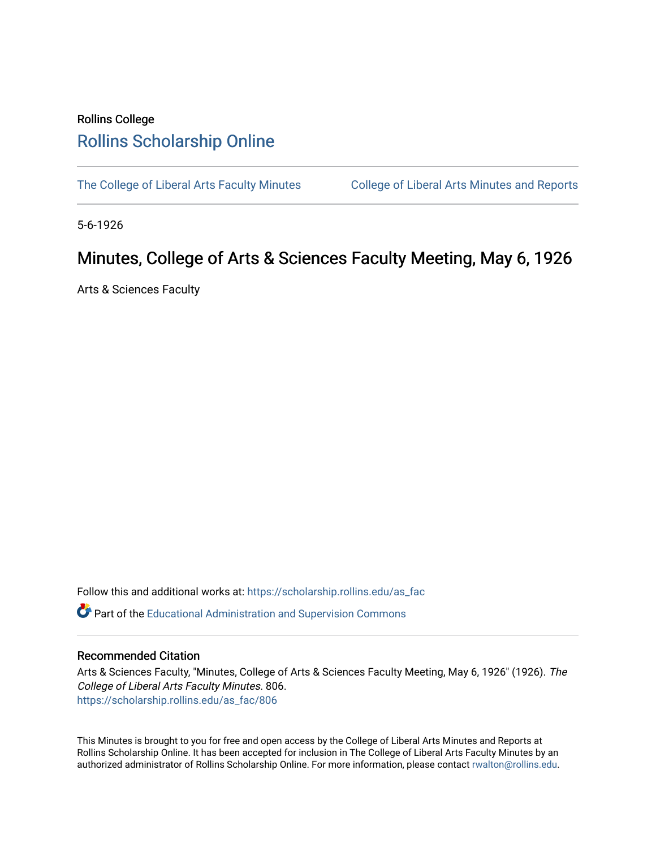## Rollins College [Rollins Scholarship Online](https://scholarship.rollins.edu/)

[The College of Liberal Arts Faculty Minutes](https://scholarship.rollins.edu/as_fac) College of Liberal Arts Minutes and Reports

5-6-1926

## Minutes, College of Arts & Sciences Faculty Meeting, May 6, 1926

Arts & Sciences Faculty

Follow this and additional works at: [https://scholarship.rollins.edu/as\\_fac](https://scholarship.rollins.edu/as_fac?utm_source=scholarship.rollins.edu%2Fas_fac%2F806&utm_medium=PDF&utm_campaign=PDFCoverPages) 

**P** Part of the [Educational Administration and Supervision Commons](http://network.bepress.com/hgg/discipline/787?utm_source=scholarship.rollins.edu%2Fas_fac%2F806&utm_medium=PDF&utm_campaign=PDFCoverPages)

## Recommended Citation

Arts & Sciences Faculty, "Minutes, College of Arts & Sciences Faculty Meeting, May 6, 1926" (1926). The College of Liberal Arts Faculty Minutes. 806. [https://scholarship.rollins.edu/as\\_fac/806](https://scholarship.rollins.edu/as_fac/806?utm_source=scholarship.rollins.edu%2Fas_fac%2F806&utm_medium=PDF&utm_campaign=PDFCoverPages) 

This Minutes is brought to you for free and open access by the College of Liberal Arts Minutes and Reports at Rollins Scholarship Online. It has been accepted for inclusion in The College of Liberal Arts Faculty Minutes by an authorized administrator of Rollins Scholarship Online. For more information, please contact [rwalton@rollins.edu](mailto:rwalton@rollins.edu).